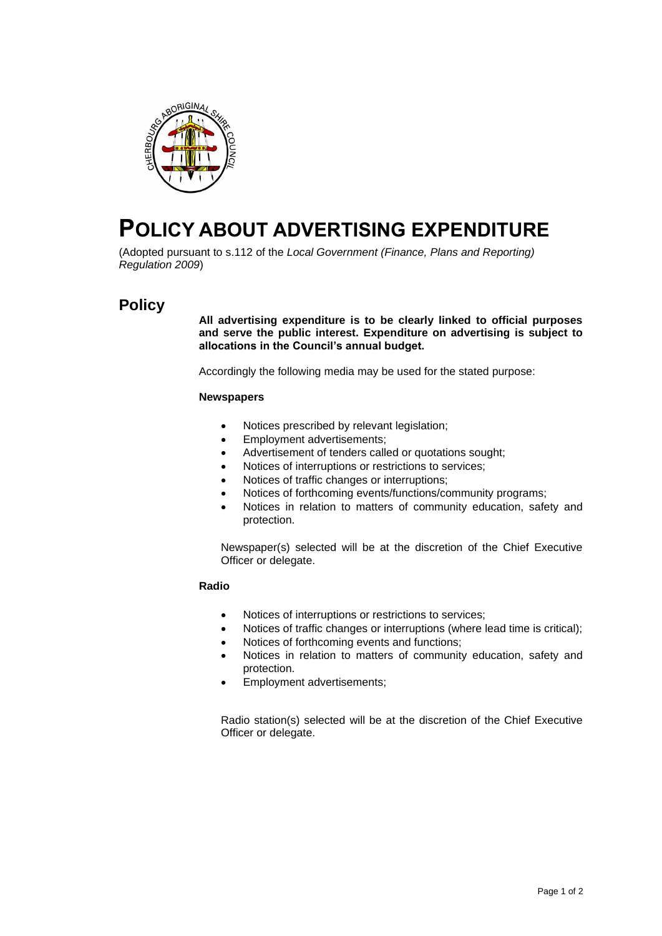

# **POLICY ABOUT ADVERTISING EXPENDITURE**

(Adopted pursuant to s.112 of the *Local Government (Finance, Plans and Reporting) Regulation 2009*)

# **Policy**

**All advertising expenditure is to be clearly linked to official purposes and serve the public interest. Expenditure on advertising is subject to allocations in the Council's annual budget.**

Accordingly the following media may be used for the stated purpose:

#### **Newspapers**

- Notices prescribed by relevant legislation;
- Employment advertisements;
- Advertisement of tenders called or quotations sought;
- Notices of interruptions or restrictions to services;
- Notices of traffic changes or interruptions;
- Notices of forthcoming events/functions/community programs;
- Notices in relation to matters of community education, safety and protection.

Newspaper(s) selected will be at the discretion of the Chief Executive Officer or delegate.

#### **Radio**

- Notices of interruptions or restrictions to services;
- Notices of traffic changes or interruptions (where lead time is critical);
- Notices of forthcoming events and functions;
- Notices in relation to matters of community education, safety and protection.
- Employment advertisements;

Radio station(s) selected will be at the discretion of the Chief Executive Officer or delegate.